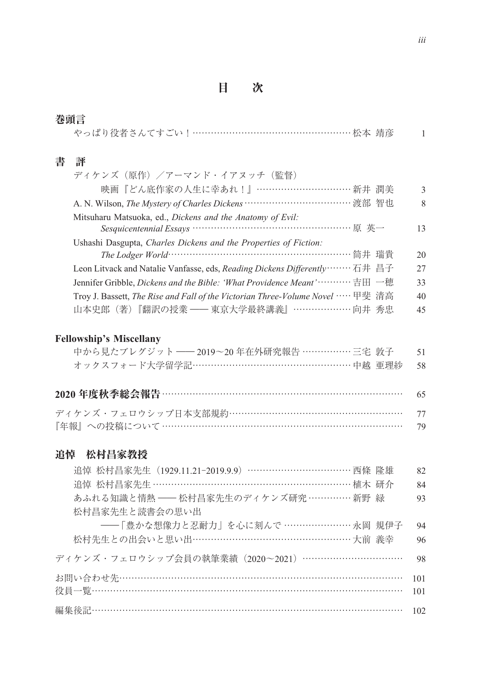目 次

| 巻頭言 |                                                                                                                  |               |  |  |  |
|-----|------------------------------------------------------------------------------------------------------------------|---------------|--|--|--|
|     | やっぱり役者さんてすごい   ………………………………………………松本 靖彦                                                                           |               |  |  |  |
|     |                                                                                                                  |               |  |  |  |
| 書   | 評                                                                                                                |               |  |  |  |
|     | ディケンズ(原作)/アーマンド・イアヌッチ(監督)                                                                                        |               |  |  |  |
|     | 映画『どん底作家の人生に幸あれ!』………………………… 新井 潤美                                                                                | $\mathcal{L}$ |  |  |  |
|     | A. N. Wilson, The Mystery of Charles Dickens …………………………… 渡部 智也                                                   | $\mathbf{8}$  |  |  |  |
|     | Mitsuharu Matsuoka, ed., Dickens and the Anatomy of Evil:                                                        |               |  |  |  |
|     | Sesquicentennial Essays …………………………………………… 原 英一                                                                   | 13            |  |  |  |
|     | Ushashi Dasgupta, Charles Dickens and the Properties of Fiction:                                                 |               |  |  |  |
|     | The Lodger World…………………………………………………简井 瑞貴                                                                         | 20            |  |  |  |
|     | Leon Litvack and Natalie Vanfasse, eds, Reading Dickens Differently……… 石井 昌子                                     | 27            |  |  |  |
|     | Jennifer Gribble, <i>Dickens and the Bible: 'What Providence Meant'</i> $\cdots$ $\cdots\cdots\oplus\boxplus$ 一穂 | 33            |  |  |  |
|     | Troy J. Bassett, <i>The Rise and Fall of the Victorian Three-Volume Novel</i> ……甲斐 清高                            | 40            |  |  |  |
|     | 山本史郎 (著)『翻訳の授業 –– 東京大学最終講義』……………… 向井 秀忠                                                                          | 45            |  |  |  |

## **Fellowship's Miscellany**

| <b>Fellowship's Miscellany</b>              |      |
|---------------------------------------------|------|
| 中から見たブレグジット ―― 2019~20 年在外研究報告 ……………… 三宅 敦子 | -51  |
| オックスフォード大学留学記……………………………………………… 中越 亜理紗      | - 58 |
| 2020 年度秋季総会報告 ………………………………………………………………      | 65   |

| ディケンズ・フェロウシップ日本支部規約………………………………………………… 77 |  |
|-------------------------------------------|--|
|                                           |  |

## 追悼 松村昌家教授

| 追悼 松村昌家教授                                         |     |
|---------------------------------------------------|-----|
| 追悼 松村昌家先生 (1929.11.21-2019.9.9) …………………………… 西條 隆雄 | 82  |
| 追悼 松村昌家先生 ………………………………………………………… 植木 研介            | 84  |
| あふれる知識と情熱 ―― 松村昌家先生のディケンズ研究 ………… 新野 緑             | 93  |
| 松村昌家先生と読書会の思い出                                    |     |
| ――「豊かな想像力と忍耐力」を心に刻んで …………………… 永岡 規伊子              | 94  |
|                                                   | 96  |
| ディケンズ・フェロウシップ会員の執筆業績(2020~2021)……………………………        | 98  |
| お問い合わせ先………………………………………………………………………………             | 101 |
| 役員一覧………………………………………………………………………………………             | 101 |
| 編集後記………………………………………………………………………………………             | 102 |